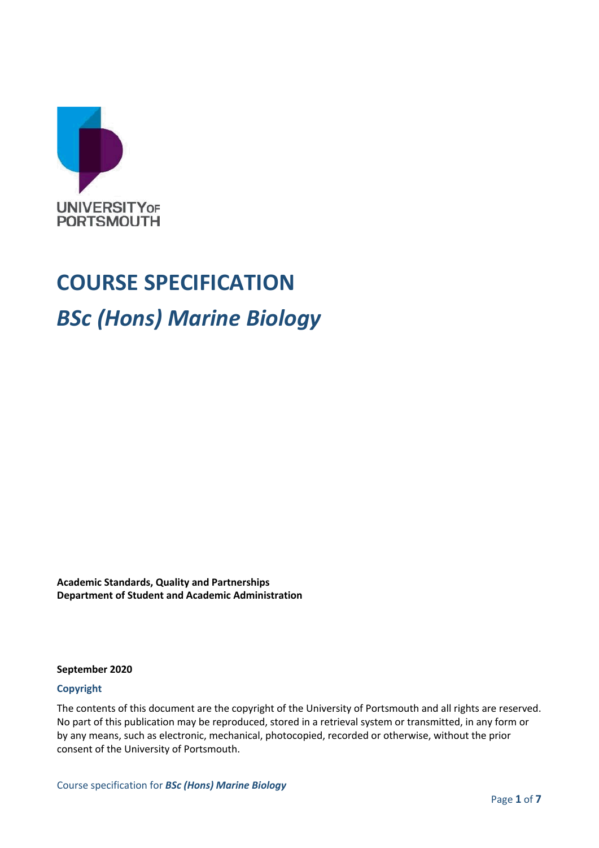

# **COURSE SPECIFICATION** *BSc (Hons) Marine Biology*

**Academic Standards, Quality and Partnerships Department of Student and Academic Administration**

**September 2020**

#### **Copyright**

The contents of this document are the copyright of the University of Portsmouth and all rights are reserved. No part of this publication may be reproduced, stored in a retrieval system or transmitted, in any form or by any means, such as electronic, mechanical, photocopied, recorded or otherwise, without the prior consent of the University of Portsmouth.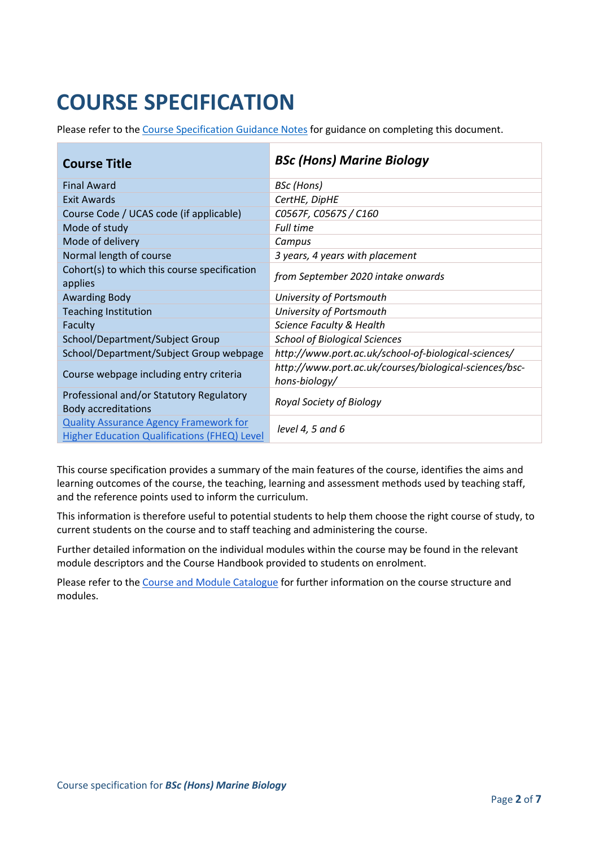## **COURSE SPECIFICATION**

Please refer to the [Course Specification Guidance Notes](http://www.port.ac.uk/departments/services/academicregistry/qmd/curriculum-framework-2019-20/filetodownload,201767,en.docx) for guidance on completing this document.

| <b>Course Title</b>                                                                                  | <b>BSc (Hons) Marine Biology</b>                                        |
|------------------------------------------------------------------------------------------------------|-------------------------------------------------------------------------|
| <b>Final Award</b>                                                                                   | <b>BSc</b> (Hons)                                                       |
| <b>Exit Awards</b>                                                                                   | CertHE, DipHE                                                           |
| Course Code / UCAS code (if applicable)                                                              | C0567F, C0567S / C160                                                   |
| Mode of study                                                                                        | <b>Full time</b>                                                        |
| Mode of delivery                                                                                     | Campus                                                                  |
| Normal length of course                                                                              | 3 years, 4 years with placement                                         |
| Cohort(s) to which this course specification<br>applies                                              | from September 2020 intake onwards                                      |
| <b>Awarding Body</b>                                                                                 | University of Portsmouth                                                |
| <b>Teaching Institution</b>                                                                          | University of Portsmouth                                                |
| Faculty                                                                                              | Science Faculty & Health                                                |
| School/Department/Subject Group                                                                      | <b>School of Biological Sciences</b>                                    |
| School/Department/Subject Group webpage                                                              | http://www.port.ac.uk/school-of-biological-sciences/                    |
| Course webpage including entry criteria                                                              | http://www.port.ac.uk/courses/biological-sciences/bsc-<br>hons-biology/ |
| Professional and/or Statutory Regulatory<br><b>Body accreditations</b>                               | Royal Society of Biology                                                |
| <b>Quality Assurance Agency Framework for</b><br><b>Higher Education Qualifications (FHEQ) Level</b> | level 4, 5 and $6$                                                      |

This course specification provides a summary of the main features of the course, identifies the aims and learning outcomes of the course, the teaching, learning and assessment methods used by teaching staff, and the reference points used to inform the curriculum.

This information is therefore useful to potential students to help them choose the right course of study, to current students on the course and to staff teaching and administering the course.

Further detailed information on the individual modules within the course may be found in the relevant module descriptors and the Course Handbook provided to students on enrolment.

Please refer to the [Course and Module Catalogue](https://course-module-catalog.port.ac.uk/#/) for further information on the course structure and modules.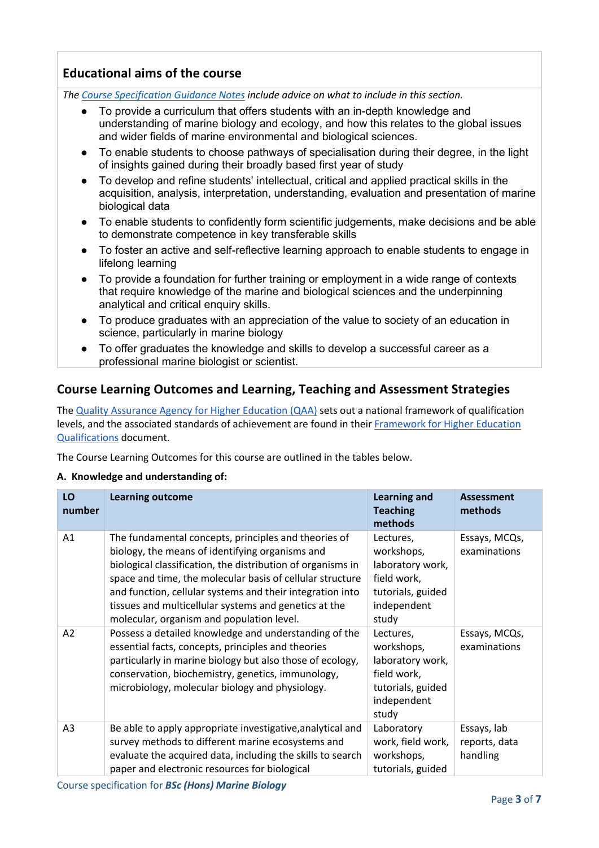## **Educational aims of the course**

*The [Course Specification Guidance Notes](http://www.port.ac.uk/departments/services/academicregistry/qmd/curriculum-framework-2019-20/filetodownload,201767,en.docx) include advice on what to include in this section.*

- To provide a curriculum that offers students with an in-depth knowledge and understanding of marine biology and ecology, and how this relates to the global issues and wider fields of marine environmental and biological sciences.
- To enable students to choose pathways of specialisation during their degree, in the light of insights gained during their broadly based first year of study
- To develop and refine students' intellectual, critical and applied practical skills in the acquisition, analysis, interpretation, understanding, evaluation and presentation of marine biological data
- To enable students to confidently form scientific judgements, make decisions and be able to demonstrate competence in key transferable skills
- To foster an active and self-reflective learning approach to enable students to engage in lifelong learning
- To provide a foundation for further training or employment in a wide range of contexts that require knowledge of the marine and biological sciences and the underpinning analytical and critical enquiry skills.
- To produce graduates with an appreciation of the value to society of an education in science, particularly in marine biology
- To offer graduates the knowledge and skills to develop a successful career as a professional marine biologist or scientist.

#### **Course Learning Outcomes and Learning, Teaching and Assessment Strategies**

The [Quality Assurance Agency for Higher Education \(QAA\)](http://www.qaa.ac.uk/en) sets out a national framework of qualification levels, and the associated standards of achievement are found in their [Framework for Higher Education](https://www.qaa.ac.uk/quality-code/higher-education-credit-framework-for-england)  [Qualifications](https://www.qaa.ac.uk/quality-code/higher-education-credit-framework-for-england) document.

The Course Learning Outcomes for this course are outlined in the tables below.

#### **A. Knowledge and understanding of:**

| LO<br>number   | <b>Learning outcome</b>                                                                                                                                                                                                                                                                                                                                                                                | <b>Learning and</b><br><b>Teaching</b><br>methods                                                       | <b>Assessment</b><br>methods             |
|----------------|--------------------------------------------------------------------------------------------------------------------------------------------------------------------------------------------------------------------------------------------------------------------------------------------------------------------------------------------------------------------------------------------------------|---------------------------------------------------------------------------------------------------------|------------------------------------------|
| A1             | The fundamental concepts, principles and theories of<br>biology, the means of identifying organisms and<br>biological classification, the distribution of organisms in<br>space and time, the molecular basis of cellular structure<br>and function, cellular systems and their integration into<br>tissues and multicellular systems and genetics at the<br>molecular, organism and population level. | Lectures,<br>workshops,<br>laboratory work,<br>field work,<br>tutorials, guided<br>independent<br>study | Essays, MCQs,<br>examinations            |
| A2             | Possess a detailed knowledge and understanding of the<br>essential facts, concepts, principles and theories<br>particularly in marine biology but also those of ecology,<br>conservation, biochemistry, genetics, immunology,<br>microbiology, molecular biology and physiology.                                                                                                                       | Lectures,<br>workshops,<br>laboratory work,<br>field work,<br>tutorials, guided<br>independent<br>study | Essays, MCQs,<br>examinations            |
| A <sub>3</sub> | Be able to apply appropriate investigative, analytical and<br>survey methods to different marine ecosystems and<br>evaluate the acquired data, including the skills to search<br>paper and electronic resources for biological                                                                                                                                                                         | Laboratory<br>work, field work,<br>workshops,<br>tutorials, guided                                      | Essays, lab<br>reports, data<br>handling |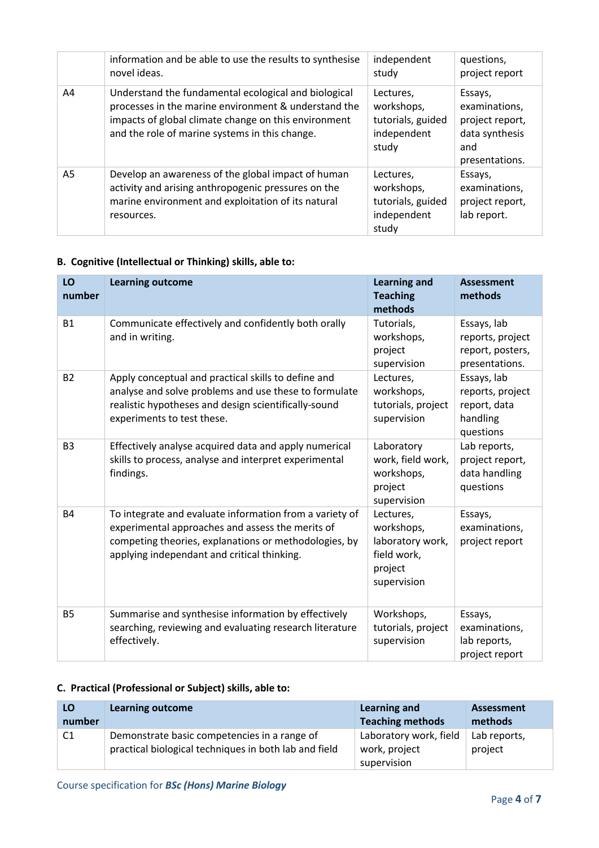|    | information and be able to use the results to synthesise<br>novel ideas.                                                                                                                                               | independent<br>study                                                 | questions,<br>project report                                                           |
|----|------------------------------------------------------------------------------------------------------------------------------------------------------------------------------------------------------------------------|----------------------------------------------------------------------|----------------------------------------------------------------------------------------|
| A4 | Understand the fundamental ecological and biological<br>processes in the marine environment & understand the<br>impacts of global climate change on this environment<br>and the role of marine systems in this change. | Lectures,<br>workshops,<br>tutorials, guided<br>independent<br>study | Essays,<br>examinations,<br>project report,<br>data synthesis<br>and<br>presentations. |
| A5 | Develop an awareness of the global impact of human<br>activity and arising anthropogenic pressures on the<br>marine environment and exploitation of its natural<br>resources.                                          | Lectures,<br>workshops,<br>tutorials, guided<br>independent<br>study | Essays,<br>examinations,<br>project report,<br>lab report.                             |

### **B. Cognitive (Intellectual or Thinking) skills, able to:**

| LO<br>number   | <b>Learning outcome</b>                                                                                                                                                                                             | <b>Learning and</b><br><b>Teaching</b><br>methods                                    | <b>Assessment</b><br>methods                                             |
|----------------|---------------------------------------------------------------------------------------------------------------------------------------------------------------------------------------------------------------------|--------------------------------------------------------------------------------------|--------------------------------------------------------------------------|
| <b>B1</b>      | Communicate effectively and confidently both orally<br>and in writing.                                                                                                                                              | Tutorials,<br>workshops,<br>project<br>supervision                                   | Essays, lab<br>reports, project<br>report, posters,<br>presentations.    |
| <b>B2</b>      | Apply conceptual and practical skills to define and<br>analyse and solve problems and use these to formulate<br>realistic hypotheses and design scientifically-sound<br>experiments to test these.                  | Lectures,<br>workshops,<br>tutorials, project<br>supervision                         | Essays, lab<br>reports, project<br>report, data<br>handling<br>questions |
| B <sub>3</sub> | Effectively analyse acquired data and apply numerical<br>skills to process, analyse and interpret experimental<br>findings.                                                                                         | Laboratory<br>work, field work,<br>workshops,<br>project<br>supervision              | Lab reports,<br>project report,<br>data handling<br>questions            |
| <b>B4</b>      | To integrate and evaluate information from a variety of<br>experimental approaches and assess the merits of<br>competing theories, explanations or methodologies, by<br>applying independant and critical thinking. | Lectures,<br>workshops,<br>laboratory work,<br>field work,<br>project<br>supervision | Essays,<br>examinations,<br>project report                               |
| <b>B5</b>      | Summarise and synthesise information by effectively<br>searching, reviewing and evaluating research literature<br>effectively.                                                                                      | Workshops,<br>tutorials, project<br>supervision                                      | Essays,<br>examinations,<br>lab reports,<br>project report               |

#### **C. Practical (Professional or Subject) skills, able to:**

| LO             | <b>Learning outcome</b>                                                                               | Learning and                                           | Assessment              |
|----------------|-------------------------------------------------------------------------------------------------------|--------------------------------------------------------|-------------------------|
| number         |                                                                                                       | <b>Teaching methods</b>                                | methods                 |
| C <sub>1</sub> | Demonstrate basic competencies in a range of<br>practical biological techniques in both lab and field | Laboratory work, field<br>work, project<br>supervision | Lab reports,<br>project |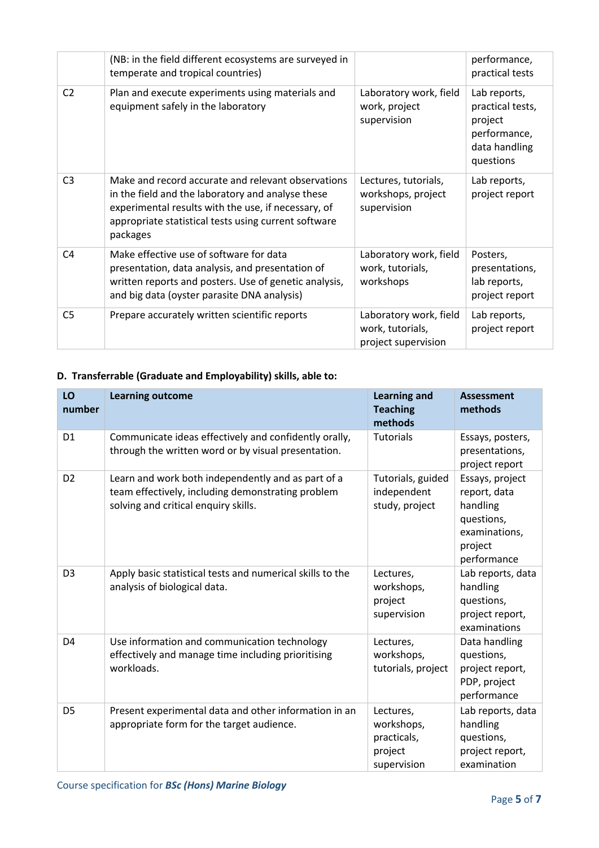|                | (NB: in the field different ecosystems are surveyed in<br>temperate and tropical countries)                                                                                                                                        |                                                                   | performance,<br>practical tests                                                           |
|----------------|------------------------------------------------------------------------------------------------------------------------------------------------------------------------------------------------------------------------------------|-------------------------------------------------------------------|-------------------------------------------------------------------------------------------|
| C <sub>2</sub> | Plan and execute experiments using materials and<br>equipment safely in the laboratory                                                                                                                                             | Laboratory work, field<br>work, project<br>supervision            | Lab reports,<br>practical tests,<br>project<br>performance,<br>data handling<br>questions |
| C <sub>3</sub> | Make and record accurate and relevant observations<br>in the field and the laboratory and analyse these<br>experimental results with the use, if necessary, of<br>appropriate statistical tests using current software<br>packages | Lectures, tutorials,<br>workshops, project<br>supervision         | Lab reports,<br>project report                                                            |
| C <sub>4</sub> | Make effective use of software for data<br>presentation, data analysis, and presentation of<br>written reports and posters. Use of genetic analysis,<br>and big data (oyster parasite DNA analysis)                                | Laboratory work, field<br>work, tutorials,<br>workshops           | Posters,<br>presentations,<br>lab reports,<br>project report                              |
| C <sub>5</sub> | Prepare accurately written scientific reports                                                                                                                                                                                      | Laboratory work, field<br>work, tutorials,<br>project supervision | Lab reports,<br>project report                                                            |

### **D. Transferrable (Graduate and Employability) skills, able to:**

| LO<br>number   | <b>Learning outcome</b>                                                                                                                         | <b>Learning and</b><br><b>Teaching</b><br>methods                | <b>Assessment</b><br>methods                                                                         |
|----------------|-------------------------------------------------------------------------------------------------------------------------------------------------|------------------------------------------------------------------|------------------------------------------------------------------------------------------------------|
| D <sub>1</sub> | Communicate ideas effectively and confidently orally,<br>through the written word or by visual presentation.                                    | <b>Tutorials</b>                                                 | Essays, posters,<br>presentations,<br>project report                                                 |
| D <sub>2</sub> | Learn and work both independently and as part of a<br>team effectively, including demonstrating problem<br>solving and critical enquiry skills. | Tutorials, guided<br>independent<br>study, project               | Essays, project<br>report, data<br>handling<br>questions,<br>examinations,<br>project<br>performance |
| D <sub>3</sub> | Apply basic statistical tests and numerical skills to the<br>analysis of biological data.                                                       | Lectures,<br>workshops,<br>project<br>supervision                | Lab reports, data<br>handling<br>questions,<br>project report,<br>examinations                       |
| D <sub>4</sub> | Use information and communication technology<br>effectively and manage time including prioritising<br>workloads.                                | Lectures,<br>workshops,<br>tutorials, project                    | Data handling<br>questions,<br>project report,<br>PDP, project<br>performance                        |
| D <sub>5</sub> | Present experimental data and other information in an<br>appropriate form for the target audience.                                              | Lectures,<br>workshops,<br>practicals,<br>project<br>supervision | Lab reports, data<br>handling<br>questions,<br>project report,<br>examination                        |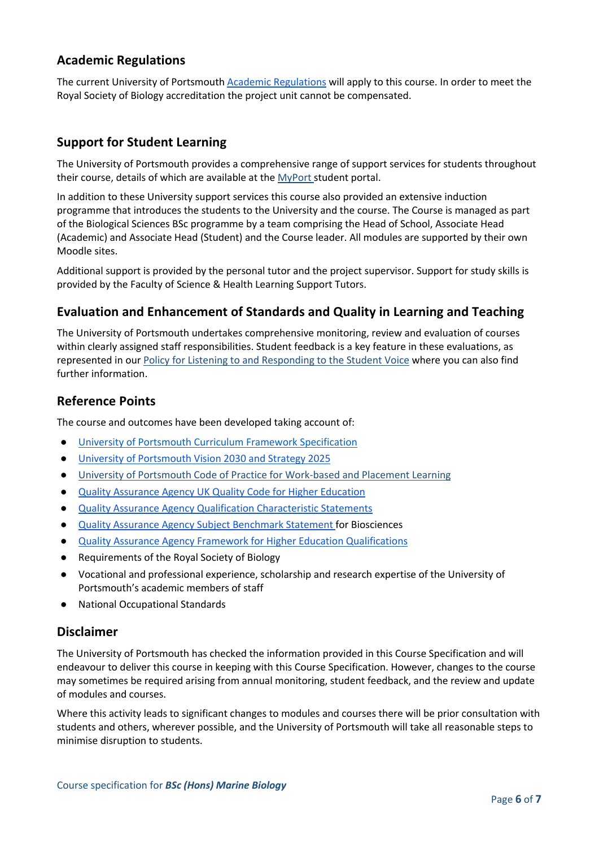### **Academic Regulations**

The current University of Portsmouth [Academic Regulations](https://policies.docstore.port.ac.uk/policy-107.pdf?_ga=2.115099791.988573471.1600698712-86764541.1593710288) will apply to this course. In order to meet the Royal Society of Biology accreditation the project unit cannot be compensated.

#### **Support for Student Learning**

The University of Portsmouth provides a comprehensive range of support services for students throughout their course, details of which are available at the [MyPort](http://myport.ac.uk/) student portal.

In addition to these University support services this course also provided an extensive induction programme that introduces the students to the University and the course. The Course is managed as part of the Biological Sciences BSc programme by a team comprising the Head of School, Associate Head (Academic) and Associate Head (Student) and the Course leader. All modules are supported by their own Moodle sites.

Additional support is provided by the personal tutor and the project supervisor. Support for study skills is provided by the Faculty of Science & Health Learning Support Tutors.

#### **Evaluation and Enhancement of Standards and Quality in Learning and Teaching**

The University of Portsmouth undertakes comprehensive monitoring, review and evaluation of courses within clearly assigned staff responsibilities. Student feedback is a key feature in these evaluations, as represented in our [Policy for Listening to and Responding to the Student Voice](http://policies.docstore.port.ac.uk/policy-069.pdf) where you can also find further information.

#### **Reference Points**

The course and outcomes have been developed taking account of:

- [University of Portsmouth Curriculum Framework Specification](http://www.port.ac.uk/departments/services/academicregistry/qmd/curriculum-framework-2019-20/filetodownload,201776,en.pdf)
- [University of Portsmouth](https://www.port.ac.uk/about-us/our-ambition/our-strategy) [Vision 2030 and Strategy 2025](https://www.port.ac.uk/about-us/our-ambition/our-strategy)
- [University of Portsmouth Code of Practice for Work-based and Placement Learning](http://policies.docstore.port.ac.uk/policy-151.pdf)
- [Quality Assurance Agency UK Quality Code for Higher Education](https://www.qaa.ac.uk/quality-code)
- **[Quality Assurance Agency Qualification Characteristic Statements](https://www.qaa.ac.uk/quality-code/characteristics-statements)**
- [Quality Assurance Agency Subject Benchmark Statement f](https://www.qaa.ac.uk/quality-code/subject-benchmark-statements)or Biosciences
- [Quality Assurance Agency Framework for Higher Education Qualifications](https://www.qaa.ac.uk/quality-code/qualifications-frameworks)
- Requirements of the Royal Society of Biology
- Vocational and professional experience, scholarship and research expertise of the University of Portsmouth's academic members of staff
- **National Occupational Standards**

#### **Disclaimer**

The University of Portsmouth has checked the information provided in this Course Specification and will endeavour to deliver this course in keeping with this Course Specification. However, changes to the course may sometimes be required arising from annual monitoring, student feedback, and the review and update of modules and courses.

Where this activity leads to significant changes to modules and courses there will be prior consultation with students and others, wherever possible, and the University of Portsmouth will take all reasonable steps to minimise disruption to students.